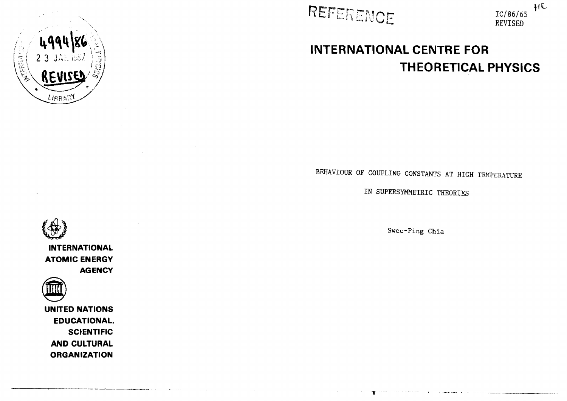



**Contractor** 



# **INTERNATIONAL CENTRE FOR THEORETICAL PHYSICS**

BEHAVIOUR OF COUPLING CONSTANTS AT HIGH TEMPERATURE

IN SUPERSYMMETRIC THEORIES

Swee-Ping Chia

.<br>The contract of the contract of the contract of the contract of the contract of the contract of the contract of the



**INTERNATIONAL ATOMIC ENERGY AGENCY**



**UNITED NATIONS EDUCATIONAL. SCIENTIFIC AND CULTURAL ORGANIZATION**

and the property of the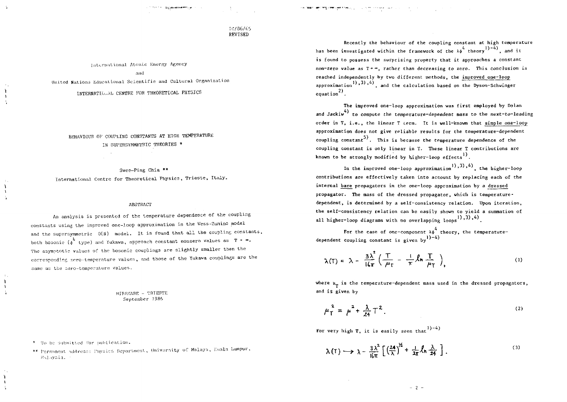**THE CONFIDENT PARTY CONTINUES INTO A SERVER AND CONFIDENTIAL CONFIDENTIAL CONFIDENTIAL CONTINUES.** 

# IC/86/65 REVISED

International Atomic Energy Agency

and

United Nations Educational Scientific and Cultural Organization

INTERNATIONAL CENTRE FOR THEORETICAL PHYSICS

BEHAVIOUR OF COUPLING CONSTANTS AT HIGH TEMPERATURE IN SUPERSYMMETRIC THEORIES '

Swee-Ping Chia \*\* International Centre for Theoretical Physics, Trieste, Italy.

## **ABSTRACT**

An analysis is presented of the temperature dependence of the coupling constants using the improved one-loop approximation in the Wess-Zumino model and the supersymmetric  $O(N)$  model. It is found that all the coupling constants, both bosonic  $\begin{pmatrix} 1 \\ 0 \end{pmatrix}$  type) and Yukawa, approach constant nonzero values as  $T + \infty$ . The asymptotic values of the bosonic couplings are slightly smaller than the corresponding zero-temperature values, and those of the Yukava couplings are the same as the zero-temperature values.

> MIRAMARE - TRIESTE September 1986

\* To be submitted for publication.

 $\mathbf{h}$ 

 $\mathbf{I}$ 

h.

\*\* Permanent address: Physics Department, University of Malaya, Euala Lumpur, Malaysia.

Recently the behaviour of the coupling constant at high temperature has been investigated within the framework of the  $\lambda \phi^4$  theory<sup>1</sup>)-4</sup>, and it is found to possess the surprising property that it approaches a constant non-zero value as  $T + \infty$ , rather than decreasing to zero. This conclusion is reached independently by two different methods, the improved one-loop approximation<sup>1</sup>, 3), 4), and the calculation based on the Dyson-Schwinger equation<sup>2)</sup>.

The improved one-loop approximation was first employed by Dolan and Jackiw<sup>4</sup> to compute the temperature-dependent mass to the next-to-leading order in T, i.e., the linear T term. It is well-known that simple one-loop approximation does not give reliable results for the temperature-dependent coupling constant<sup>5</sup>). This is because the temperature dependence of the coupling constant is only linear in T. These linear T contributions are known to be strongly modified by higher-loop effects<sup>1)</sup>.

In the improved one-loop approximation<sup>1</sup>), 3), 4), the higher-loop contributions are effectively taken into account by replacing each of the internal bare propagators in the one-loop approximation by a dressed propagator. The mass of the dressed propagator, which is temperaturedependent, is determined by a self-consistency relation. Upon iteration, the self-consistency relation can be easily shown to yield a summation of all higher-loop diagrams with no overlapping loops<sup>1</sup>), 3), 4).

For the case of one-component  $\lambda \phi$  theory, the temperaturedependent coupling constant is given  $b\mathbf{v}^{(1)-4}$ )

$$
\lambda(T) = \lambda - \frac{3\lambda^2}{16\pi} \left( \frac{T}{\mu_T} - \frac{1}{\pi} \ln \frac{T}{\mu_T} \right), \tag{1}
$$

where  $\mu_{\pi}$  is the temperature-dependent mass used in the dressed propagators, and is given by

$$
\mu_{\rm T}^2 = \mu^2 + \frac{\lambda}{24} \, {\rm T}^2 \,. \tag{2}
$$

For very high T, it is easily seen that  $1$ )-4)

$$
\lambda(T) \longrightarrow \lambda - \frac{3\lambda^2}{16\pi} \left[ \left( \frac{24}{\lambda} \right)^{1/2} + \frac{1}{2\pi} \ln \frac{\lambda}{24} \right]. \tag{3}
$$

 $-2 -$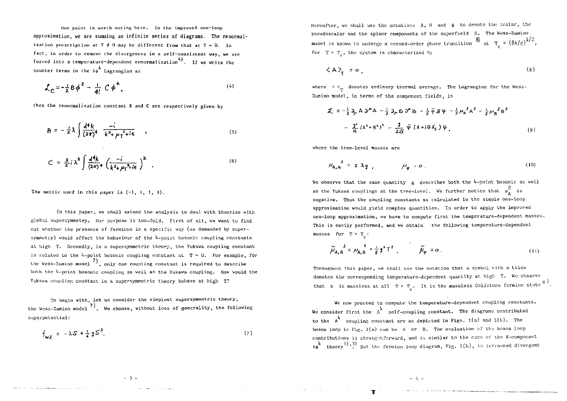One point is worth noting here. In the improved one-loop approximation, we are summing an infinite series of diagrams. The renormalization prescription at  $T \neq 0$  may be different from that at  $T = 0$ . In fact, ia order to remove the divergences in a self-consistent way, we are forced into a temperature-dependent renormalization<sup>4</sup>). If we write the counter terms in the  $\lambda \phi \stackrel{4}{\sim}$  Lagrangian as

$$
\mathcal{L}_{\mathbf{C}} = -\frac{1}{2} B \phi^2 - \frac{1}{4!} C \phi^4, \qquad (4)
$$

then the renormalization constant B and C are respectively given by

$$
B = -\frac{1}{z}\lambda \int \frac{d^4k}{(2\pi)^4} \frac{-i}{k^2 + \mu \tau^2 + i\epsilon} , \qquad (5)
$$

$$
C = \frac{3}{2} i \lambda^2 \int \frac{d^4 k}{(2\pi)^4} \left( \frac{-i}{k^2 + \mu_1^2 + i\epsilon} \right)^2 \quad . \tag{6}
$$

The metric used in this paper is  $(-1, 1, 1, 1)$ .

In this paper, we shall extend the analysis to deal with theories with global supersymmetry. Our purpose is two-fold. First of all, ve want to find out whether the presence of fermions in a specific way (as demanded by supersymmetry) would affect the behaviour of the  $l_{\text{t}-\text{point}}$  bosonic coupling constants at high T. Secondly, in a supcrsyrametric theory, the Yukawa coupling constant is related to the 4-point bosonic coupling constant at  $T = 0$ . For example, for the Wess-Zumino model  $\begin{pmatrix} 7 \end{pmatrix}$ , only one coupling constant is required to describe both the  $l_i$ -point bosonic coupling as well as the Yukawa coupling. How vould the Yukawa coupling constant in a supersymmetric theory behave at high T?

To begin with, let us consider the simplest supersymmetric theory, the Wess-Zumino model  $^{7)}$ . We choose, without loss of generality, the following superpotential:

$$
f_{\mathbf{w}\mathbf{Z}} = -\lambda \mathbf{S} + \frac{1}{2} \mathbf{g} \mathbf{S}^3. \tag{1}
$$

Hereafter, we shall use the notations  $A$ ,  $B$  and  $\psi$  to denote the scalar, the pseudosc&lar and the spinor components of the superfield S. The Wess-Zumino model is known to undergo a second-order phase transition  $\frac{8}{\pi}$  at  $\frac{\pi}{c} = \frac{8\lambda}{g}$   $\frac{1/2}{c}$ For  $T > T_$ , the system is characterized by

$$
\langle A \rangle_{\mathsf{T}} = \mathsf{o} \tag{8}
$$

where  $\langle \rangle_{\rm m}$  denotes ordinary thermal average. The Lagrangian for the Wess-Zumino model, in terms of the component fields, is

$$
\mathcal{L} = -\frac{1}{2} \partial_{\mu} A \partial^{\mu} A - \frac{1}{2} \partial_{\mu} B \partial^{\mu} B - \frac{1}{2} \bar{\psi} \mathcal{J} \psi - \frac{1}{2} \mu_{A}^{2} A^{2} - \frac{1}{2} \mu_{B}^{2} B^{2}
$$
  

$$
- \frac{\mathbf{J}^{2}}{4\zeta} (A^{2} + B^{2})^{2} - \frac{\mathbf{J}}{4\zeta} \bar{\psi} (A + iB \mathcal{J}_{5}) \psi,
$$
 (9)

where the tree-level masses are

$$
\mu_{A,B}^2 = \mp \lambda q \tag{10}
$$

We observe that the same quantity  $g$  describes both the 4-point bosonic as well as the Yukawa couplings at the tree-level. We further notice that  $\frac{2}{\mu_A}$  is negative. Thus the coupling constants as calculated in the simple one-loop approximation would yield complex quantities. In order to apply the improved one-loop approximation, ve have to compute first the temperature-dependent masses. This is easily performed, and we obtain the following temperature-dependent masses for  $T > T_c$ :

$$
\widetilde{\mu}_{A,B}^{2} = \mu_{A,B}^{2} + \frac{1}{g} g^{2} T^{2} , \qquad \widetilde{\mu}_{\psi} = 0 .
$$
 (11)

Throughout this paper, we shall use the notation that a symbol with a tilde denotes the corresponding temperature-dependent quantity at high T. He observe that  $\psi$  is massless at all T > T<sub>c</sub>. It is the massless Coldstone fermion state <sup>9</sup>.

We now proceed to compute the temperature-dependent coupling constants. We consider first the  $A^{\text{th}}$  self-coupling constant. The diagrams contributed to the  $A^l$  coupling constant are as depicted in Figs. 1(a) and 1(b). The boson loop in Fig.  $l(a)$  can be A or B. The evaluation of the boson loop contributions is straightforward, and is similar to the case of the N-component  $x_{\mathbf{d}}^{\mathbf{l}}$  theory<sup>1</sup>),<sup>3</sup>) But the fermion loop diagram, Fig. 1(b), is infra-red divergent

 $-4 =$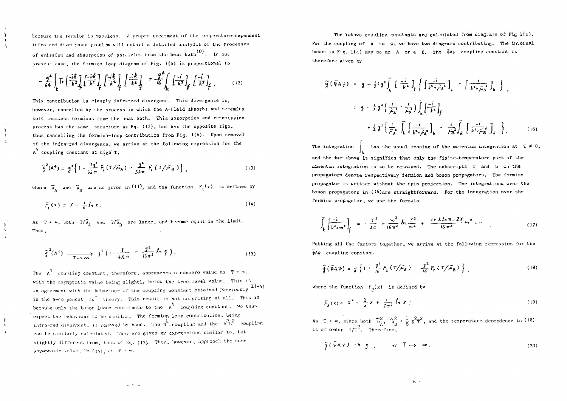because the fermion is massless. A proper treatment of the temperature-dependent infra-red divergence problem vill entail a detailed analysis of the processes of emission and absorption of particles from the heat bath . In our present case, the fermion loop diagram of Fig. 1(b) is proportional to

$$
-\frac{9}{64}\int_{k} \text{Tr}\left[\frac{-i\frac{k}{k}}{k^{2}}\right] \left[\frac{-i\frac{k}{k}}{k^{2}}\right]_{f} \left[\frac{-i\frac{k}{k}}{k^{2}}\right]_{f} \left[\frac{-i\frac{k}{k}}{k^{2}}\right]_{f} = \frac{9}{16}\int_{k} \left[\frac{-i}{k^{2}}\right]_{f} \left[\frac{-i}{k^{2}}\right]_{f} \dots \qquad (12)
$$

This contribution is clearly infra-red divergent. This divergence is, however, cancelled by the process in which the A-field absorbs and re-emits soft massless fermions from the heat bath. This absorption and re-emission process has the same structure as Eq.  $(12)$ , but has the opposite sign, thus cancelling the fermion-loop contribution from Fig. 1(b). Upon removal of the infra-red divergence, we arrive at the following expression for the  $A^4$  coupling constant at high T,

$$
\tilde{g}^{2}(A^{4}) = g^{2}\left\{1 - \frac{g_{\phi}^{2}}{32\pi} F_{i}(T/\tilde{\mu}_{A}) - \frac{g^{2}}{32\pi} F_{i}(T/\tilde{\mu}_{B})\right\},
$$
\n(13)

where  $\tilde{\mu}_a$  and  $\tilde{\mu}_b$  are as given in (11), and the function  $F_1(x)$  is defined by

$$
F_{\mathbf{r}}(x) = x - \frac{1}{\pi} I_n x. \tag{14}
$$

As  $T \rightarrow \infty$ , both  $T/\tilde{\nu}_{\rm a}$  and  $T/\tilde{\nu}_{\rm n}$  are large, and become equal in the limit. Thus ,

$$
\tilde{g}^{2}(A^{4}) \longrightarrow \longrightarrow_{T \to \infty} g^{2}(t - \frac{g}{4\pi\pi} - \frac{g^{2}}{16\pi^{2}} \ln g).
$$
 (15)

The  $A^{\frac{1}{4}}$  coupling constant, therefore, approaches a nonzero value as  $T + \infty$ , with the asymptotic value being slightly below the tree-level value. This is in agreement with the behaviour of the coupling constant obtained previously  $1)$ -4) in the N-component  $\lambda \phi$  theory. This result is not surprising at all. This is because only the boson loops contribute to the  $A$  coupling constant. We thus expect the behaviour to be similar. The fermion loop contribution, being infra-red divergent, is removed by hand. The  $B^4$ -coupling and the  $A^4B^4$  couplin can be similarly calculated. They are given by expressions similar to, but slightly different from, that of Eq. (13). They, however, approach the same asymptotic value, Eq.(15) as T  $\leq$   $\infty$ 

The Yukawa coupling constants are calculated from diagrams of Fig  $1(c)$ . For the coupling of  $A$  to  $\Psi$ , we have two diagrams contributing. The internal boson in Fig. 1(c) may be an A or a B. The  $\bar{\psi}$ A $\psi$  coupling constant is therefore given by

$$
\widetilde{g}(\vec{\psi} A \psi) = g - \frac{1}{2} i g^2 \int_k \left[ \frac{-i}{k^4} \int_f \left\{ \left[ \frac{-i}{k^4 \cdot \tilde{r} A^2} \right]_k - \left[ \frac{-i}{k^4 \cdot \tilde{r} A^2} \right]_k \right\} \right]
$$
  
\n
$$
= g - \frac{1}{2} g^2 \left( \frac{i}{\tilde{r} A} - \frac{1}{\tilde{r} B} \right) \int_k \left[ \frac{-i}{k^4} \right]_f
$$
  
\n
$$
+ \frac{1}{2} g^2 \left\{ \frac{i}{\tilde{r} A} - \frac{i}{\tilde{r} B} \right\} \int_k \left[ \frac{-i}{k^4 \tilde{r} A} \right]_k - \frac{i}{\tilde{r} B} \int_k \left[ \frac{-i}{k^4 \tilde{r} B} \right]_k \right].
$$
 (16)

The integration  $\int_{V}$  has the usual meaning of the momentum integration at  $T \neq 0$ , and the tar above it signifies that only the finite-teaperature part of the momentum integration is to be retained. The subscripts f and b on the propagators denote respectively fermion and boson propagators. The fermion propagator is written without the spin projection. The integrations over the boson propagators in  $(i6)$ are straightforward. For the integration over the fermion propagator, us use the formula

$$
\int_{k} \left[ \frac{-i}{k^{2} + m^{2}} \right]_{f} = -\frac{\tau^{2}}{24} + \frac{m^{2}}{16 \pi^{2}} \ln \frac{\tau^{2}}{m^{2}} + \frac{1 + 2 \ln \pi - 2 \gamma}{16 \pi^{2}} m^{2} + \cdots
$$
\n(17)

Putting all the factors together, we arrive at the following expression for the  $\bar{\phi}$ A $\psi$  coupling constant.

$$
\tilde{g}(\tilde{\psi}A\psi) = g\left\{1 + \frac{\jmath^2}{\iota_6}F_z(\tau/\tilde{\mu}_A) - \frac{\jmath^2}{\iota_6}F_z(\tau/\tilde{\mu}_B)\right\},\tag{18}
$$

where the function  $F_{\alpha}(x)$  is defined by

$$
F_{\chi}(x) = x^2 - \frac{2}{\pi} x + \frac{i}{2\pi^2} \ln x
$$
 (19)

As  $T + \infty$ , since both  $\tilde{u}_s^C$ ,  $\tilde{p}_s^C + \frac{1}{6} g^2 T^c$ , and the temperature dependence in (18) is of order  $1/T^2$ . Therefore,

$$
\tilde{g}(\tilde{\Psi}A\Psi)\longrightarrow g\qquad \text{as }\tilde{T}\longrightarrow\infty.
$$
 (20)

 $\mathbf{h}$  $\mathcal{A}$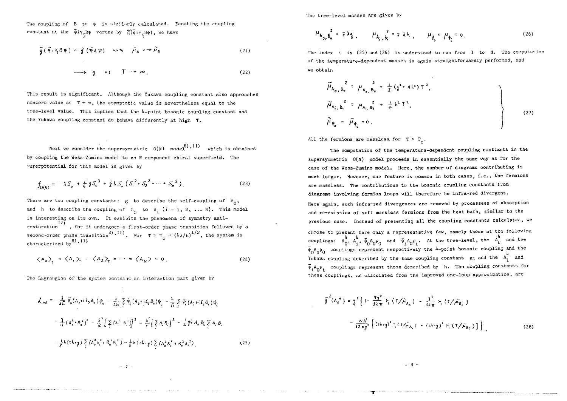The coupling of  $B$  to  $\psi$  is similarly calculated. Denoting the coupling constant at the  $\bar{\psi}$ i $\gamma_c$ B $\psi$  vertex by  $\widetilde{\mathcal{B}}(\bar{\psi}$ i $\gamma_c$ B $\psi$ ), we have

$$
\tilde{g}(\tilde{\psi} i \zeta_{5} \beta \psi) = \tilde{g}(\tilde{\psi}_{A} \psi) \quad \text{with} \quad \tilde{\mu}_{A} \longleftrightarrow \tilde{\mu}_{B} \tag{21}
$$

$$
\longrightarrow g \quad as \quad T \longrightarrow \infty \tag{22}
$$

This result is significant. Although the Yukawa coupling constant also approaches nonzero value as  $T + \infty$ , the asymptotic value is nevertheless equal to the tree-level value. This implies that the  $l$ -point bosonic coupling constant and the Yukawa coupling constant do behave differently at high T.

Next we consider the supersymmetric  $0(N)$  model<sup>8</sup>,<sup>11</sup> which is obtained by coupling the Wess-Zumino model to an N-component chiral superfield. The superpotential for this model is given by

$$
f_{O(N)} = -\lambda S_o + \frac{1}{6} g S_o^{3} + \frac{1}{2} h S_o (S_i^{2} + S_2^{2} + \dots + S_N^{2})
$$
 (23)

There are two coupling constants:  $g$  to describe the self-coupling of  $S_0$ , and h to describe the coupling of  $S_0$  to  $S_i$  (i = 1, 2, ... W). This model is interesting on its own. It exhibits the phenomena of symmetry anti-12) restoration , for it undergoes a first-order phase transition followed by a second-order phase transition<br>characterized by  $\genfrac{}{}{0pt}{}{8}{11}$  $f(8)$ ,  $f(1)$   $\frac{1}{2}$   $\frac{1}{2}$   $\frac{1}{2}$   $\frac{1}{2}$  the system is

$$
\langle A_0 \rangle_T = \langle A_1 \rangle_T = \langle A_2 \rangle_T = \cdots = \langle A_N \rangle = 0 \tag{24}
$$

The Lagrangian of the system contains an interaction part given by

$$
\mathcal{L}_{int} = -\frac{1}{4\hbar} \overline{\psi}_{0} (A_{0} + i \delta_{5} B_{0}) \psi_{0} - \frac{1}{2\hbar} \sum_{i} \overline{\psi}_{i} (A_{i} + i \delta_{5} B_{0}) \psi_{i} - \frac{1}{4\hbar} \sum_{i} \overline{\psi}_{i} (A_{i} + i \delta_{5} B_{i}) \psi_{i}
$$
  

$$
- \frac{1}{4\hbar} (A_{0}^{1} + \delta_{0}^{2})^{2} - \frac{1}{4\hbar} \left[ \sum_{i} (A_{i}^{1} - B_{i}^{1}) \right]^{2} - \frac{1}{4} \left[ \sum_{i} A_{i} B_{i} \right]^{2} - \frac{1}{2} g \mu A_{0} B_{0} \sum_{i} A_{i} B_{i}
$$
  

$$
- \frac{1}{8} h (2h + g) \sum_{i} (A_{0}^{2} A_{i}^{2} + B_{0}^{1} B_{i}^{2}) - \frac{1}{8} h (2h + g) \sum_{i} (A_{0}^{2} B_{i}^{2} + B_{0}^{2} A_{i}^{2})
$$
 (25)

The tree-level masses are given by

$$
\mu_{A_{0}, \beta_{0}}^{2} = \mp \lambda_{1}, \qquad \mu_{A_{i}, \beta_{i}}^{2} = \mp \lambda_{1}, \qquad \mu_{\beta_{0}}^{2} = \mu_{\phi_{i}}^{2} = 0.
$$
 (26)

The index i in (25) and (26) is understood to run from 1 to H. The computation of the temperature-dependent masses is again straightforwardly performed, and we obtain

$$
\tilde{\mu}_{A_0, B_0}^2 = \mu_{A_0, B_0}^2 + \frac{1}{3} (q^1 + Nk^1) T^1,
$$
\n
$$
\tilde{\mu}_{A_i, B_i}^2 = \mu_{A_i, B_i}^2 + \frac{1}{4} k^1 T^1,
$$
\n
$$
\tilde{\mu}_{\psi_0} = \tilde{\mu}_{\psi_i} = 0.
$$
\n(27)

All the fermions are massless for  $T > T_{\rm g}$ .

The computation of the temperature-dependent coupling constants in the supersymmetric 0{N) model proceeds in essentially the same way as for the case of the Wess-Zumino model. Here, the number of diagrams contributing is much larger. Hovever, one feature is common in both cases, i.e., the fermions are massless. The contributions to the bosonic coupling constants from diagrams involving fermion loops will therefore be infra-red divergent. Here again, such infra-red divergences are removed by processess of absorption and re-emission of soft massless ferraions from the heat bath, similar to the previous case. Instead of presenting all the coupling constants calculated, ue choose to present here only a representative feu, namely those at the following couplings:  $A_0^4$ ,  $A_4^4$ ,  $\bar{\psi}_0 A_0 \psi_0$  and  $\bar{\psi}_i A_0 \psi_i$ . At the tree-level, the  $A_0^4$  and the  $\bar{\Psi}_\alpha$ A<sub>o</sub> $\bar{\Psi}_\alpha$  couplings represent respectively the 4-point bosonic coupling and the Yukawa coupling described by the same coupling constant  $g$ ; and the  $\Lambda_1^4$  and  $\bar{\Psi}_i A_0 \Psi_i$  couplings represent those described by h. The coupling constants for tion couplings represent those described by h. The computation are  $t_{\text{max}}$  couplings, as calculated from the improved one-loop approximation, are  $t_{\text{max}}$ 

c

$$
\tilde{g}^{2}(A_{0}^{*}) = g^{2} \left\{ 1 - \frac{q_{1}^{2}}{32 \pi} \tilde{F}_{1} (T/\tilde{\mu}_{A_{0}}) - \frac{q^{2}}{32 \pi} \tilde{F}_{1} (T/\tilde{\mu}_{B_{0}})
$$

$$
- \frac{N h^{2}}{32 \pi g^{2}} \left[ (2h_{1}g)^{2} F_{1} (T/\tilde{\mu}_{A_{1}}) + (2k_{1}g)^{2} F_{1} (T/\tilde{\mu}_{B_{1}}) \right] \right\}
$$
(28)

 $-7 -$ 

- 3 -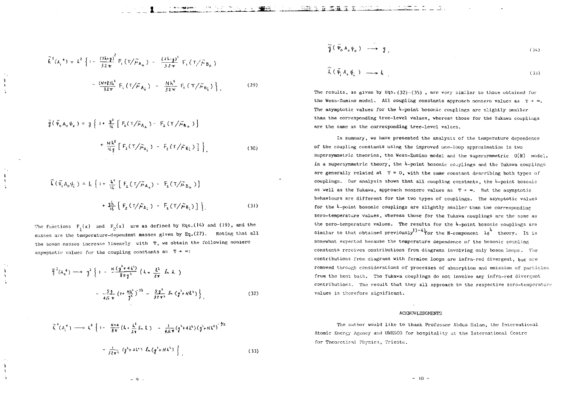$$
\tilde{h}^{2}(\Lambda_{i}^{4}) = k^{2} \left\{ 1 - \frac{(2k+g)^{2}}{32 \pi} F_{i}(\Upsilon/\tilde{\mu}_{\Lambda_{0}}) - \frac{(2k+g)^{2}}{32 \pi} F_{i}(\Upsilon/\tilde{\mu}_{\tilde{B}_{0}})
$$

$$
- \frac{(N+g)k^{2}}{32 \pi} F_{i}(\Upsilon/\tilde{\mu}_{\Lambda_{i}}) - \frac{Nk^{2}}{32 \pi} F_{i}(\Upsilon/\tilde{\mu}_{\tilde{B}_{i}}) \right\}, \qquad (29)
$$

$$
\tilde{q}(\bar{\Psi}_{6} A_{6} \psi_{6}) = g \{ i + \frac{g^{2}}{16} [\bar{F}_{2}(\tau/\tilde{\mu}_{A_{6}}) - \bar{F}_{2}(\tau/\tilde{\mu}_{B_{6}})] \}
$$
  
+ 
$$
\frac{Mh^{3}}{16g} [\bar{F}_{2}(\tau/\tilde{\mu}_{A_{2}}) - \bar{F}_{2}(\tau/\tilde{\mu}_{B_{2}})] \}
$$
(30)

$$
\begin{aligned} \widehat{h} \left( \bar{v}_i A_0 \psi_i \right) &= h \left\{ i + \frac{k^2}{46} \left[ F_2 \left( 1 / \widetilde{A}_{A_0} \right) - F_2 \left( 1 / \widetilde{A}_{B_0} \right) \right] \right. \\ &\left. + \frac{4k}{46} \left[ F_2 \left( 1 / \widetilde{A}_{A_1} \right) - F_2 \left( 1 / \widetilde{A}_{B_0} \right) \right] \right\} \end{aligned} \tag{31}
$$

The functions  $F_1(x)$  and  $F_2(x)$  are as defined by Eqs.(14) and (19), and the masses are the temperature-dependent masses given by Eq.(27). Noting that all the boson masses increase linearly with T, we obtain the following nonzero asymptotic values for the coupling constants as  $T + \infty$ :

$$
\tilde{q}^{2} (A_{0}^{4}) \longrightarrow q^{2} \left\{ 1 - \frac{N (q^{2} + 4k^{2})}{8 \pi q^{2}} (4 + \frac{t^{2}}{2\pi} k k) \right\}
$$

$$
- \frac{5 \beta}{4 \pi \pi} (t + \frac{Nk^{2}}{2})^{1/2} - \frac{5 \beta^{2}}{32 \pi^{2}} k (q^{2} + Nk^{2}) \left\}, \qquad (32)
$$

$$
\tilde{\zeta}^{2}(A_{i}^{4}) \longrightarrow \zeta^{2} \left\{ 1 - \frac{N+4}{8\pi} (k + \frac{k^{2}}{2\pi} f_{n} L) - \frac{1}{4\pi} (q^{2} + 4k^{2}) (q^{2} + Nk^{2}) \right\}^{3/2}
$$

$$
- \frac{1}{32\pi^{2}} (q^{2} + 4k^{2}) f_{n}(q^{2} + Nk^{2}) \bigg\} \qquad (33)
$$

$$
\widetilde{\mathfrak{g}}\left(\,\overline{\Psi}_{0}\,A_{0}\,\psi_{0}\,\right)\;\longrightarrow\;g\,,\tag{34}
$$

$$
\widehat{\lambda}(\tilde{\Psi}_i A_\bullet \tilde{\Psi}_i) \longrightarrow \lambda \tag{35}
$$

The results, as given by Eqs. (32)-(35), are very similar to those obtained for the Wess-Zumino model. All coupling constants approach nonzero values as  $T + \infty$ . The asymptotic values for the  $\frac{1}{4}$ -point hosonic couplings are slightly smaller than the corresponding tree-level values, vhereas those for the Yukaua couplings are the same as the corresponding tree-level values.

In summary, we have presented the analysis of the temperature dependence of the coupling constants using the improved one-loop approximation in two supersymmetric theories, the Wess-Zunino model and the supersymmetric 0(N) model. In a supersymmetric theory, the  $\frac{1}{4}$ -point bosonic couplings and the Yukawa couplings are generally related at  $T = 0$ , with the same constant describing both types of couplings. Our analysis shows that all coupling constants, the  $4$ -point bosonic as well as the Yukawa, approach nonzero values as  $T \rightarrow \infty$ . But the asymptotic behaviours are different for the two types of couplings. The asymptotic values for the  $l_{+}$ point bosonic couplings are slightly smaller than the corresponding zero-temperature values, whereas those for the Yukawa couplings are the same as the zero-temperature values. The results for the  $h$ -point bosonic couplings are similar to that obtained previously<sup>1</sup>)-4) for the N-component  $\lambda \phi$  theory. It is somewhat expected because the temperature dependence of the bosonic coupling constants receives contributions frora diagrams involving only boson loops . The contributions from diagrams with fermion loops are infra-red divergent, but are removed through considerations of processes of absorption and emission of particles from the heat bath. The Yukawa couplings do not involve any infra-red divergent contributions. The result that they all approach to the respective zero-temperature values is therefore significant.

#### ACKNOWLEDGMENTS

The author would like to thank Professor Abdus Salam, the International Atomic Energy Agency and UNESCO for hospitality at the International Centre for Theoretical Physics, Trieste,

 $-9 -$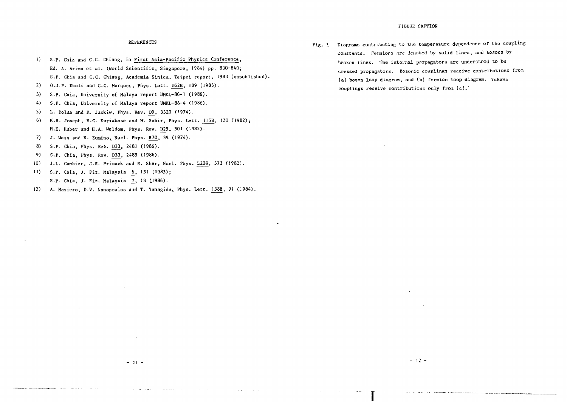# REFERENCES

- 1) S.P. Chia and C.C. Chiang, in First Asia-Pacific Physics Conference, Ed. A. Arima et al. (World Scientific, Singapore, 1984) pp. 830-840; S.p. Chia and C.C. Chiang, Academia Sinica, Teipei report, 1983 (unpublished).
- 2) O.J.F. Eboli and G.C. Marques, Phys. Lett. I62B, 189 (1985).
- 3) S.P. Chia, University of Malaya report UMKL-86-1 (1986).
- 4) S.P. Chia, University of Malaya report UMKL-86-4 (1986).
- 5) L. Dolan and R. Jackiw, Phys. Rev. D9, 3320 (1974).
- 6) K.B. Joseph, V.C. Kuriakose and M. Sabir, Phys. Lett. 1I5B, 120 (19S2); H.E. Haber and H.A. Weldom, Phys. Rev. D25, 501 (1982).
- 7) J. Wess and B. Zumino, Nucl. Phys. B70, 39 (1974).
- 8) S.P. Chia, Phys. Rev. D33, 2481 (1986).
- 9) S.P. Chia, Phys. Rev. D33, 2485 (1986).
- 10) J.L. Camhier, J.R. Primack and M. Sher, Nucl. Phys. B209, 372 (1982).
- 11) S.P. Chia, J. Fiz. Malaysia 6, 131 (1985); S.P. Chia, J. Fiz. Malaysia \_7. <sup>13</sup> C1986).
- 12) A. Masiero, D.V. Nanopoulos and T. Yanagida, Phys. Lett. 138B, 91 (1984).

Fig. 1 Diagraas contributing to the temperature dependence of the coupling constants. Fermions are denoted by solid lines, and bosons by broken lines. The internal propagators are understood to be dressed propagators. Bosonic couplings receive contributions from (a) boson loop diagram, and (b) fermion loop diagram. Yukawa couplings receive contributions only from (c).'

**I**